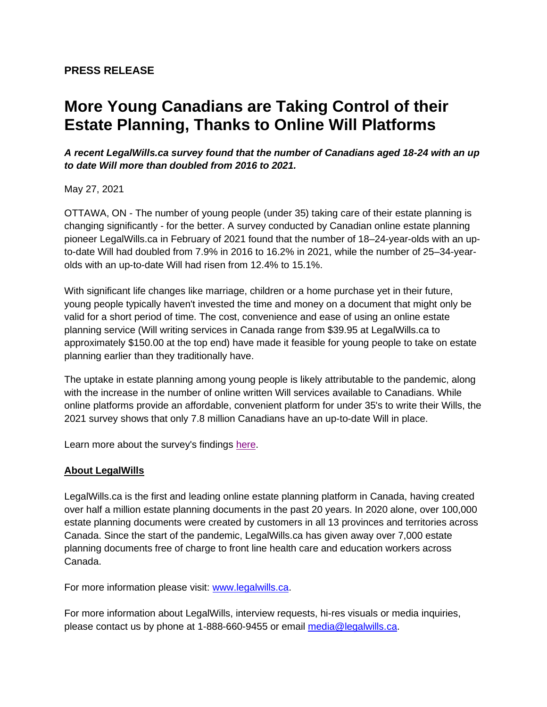## **More Young Canadians are Taking Control of their Estate Planning, Thanks to Online Will Platforms**

## *A recent LegalWills.ca survey found that the number of Canadians aged 18-24 with an up to date Will more than doubled from 2016 to 2021.*

May 27, 2021

OTTAWA, ON - The number of young people (under 35) taking care of their estate planning is changing significantly - for the better. A survey conducted by Canadian online estate planning pioneer LegalWills.ca in February of 2021 found that the number of 18–24-year-olds with an upto-date Will had doubled from 7.9% in 2016 to 16.2% in 2021, while the number of 25–34-yearolds with an up-to-date Will had risen from 12.4% to 15.1%.

With significant life changes like marriage, children or a home purchase yet in their future, young people typically haven't invested the time and money on a document that might only be valid for a short period of time. The cost, convenience and ease of using an online estate planning service (Will writing services in Canada range from \$39.95 at LegalWills.ca to approximately \$150.00 at the top end) have made it feasible for young people to take on estate planning earlier than they traditionally have.

The uptake in estate planning among young people is likely attributable to the pandemic, along with the increase in the number of online written Will services available to Canadians. While online platforms provide an affordable, convenient platform for under 35's to write their Wills, the 2021 survey shows that only 7.8 million Canadians have an up-to-date Will in place.

Learn more about the survey's findings [here.](https://www.legalwills.ca/media_files/210526%20LW_Trends%20Survey%20Results_PF5.pdf)

## **About LegalWills**

LegalWills.ca is the first and leading online estate planning platform in Canada, having created over half a million estate planning documents in the past 20 years. In 2020 alone, over 100,000 estate planning documents were created by customers in all 13 provinces and territories across Canada. Since the start of the pandemic, LegalWills.ca has given away over 7,000 estate planning documents free of charge to front line health care and education workers across Canada.

For more information please visit: [www.legalwills.ca.](https://www.legalwills.ca/)

For more information about LegalWills, interview requests, hi-res visuals or media inquiries, please contact us by phone at 1-888-660-9455 or email [media@legalwills.ca.](mailto:media@legalwills.ca)